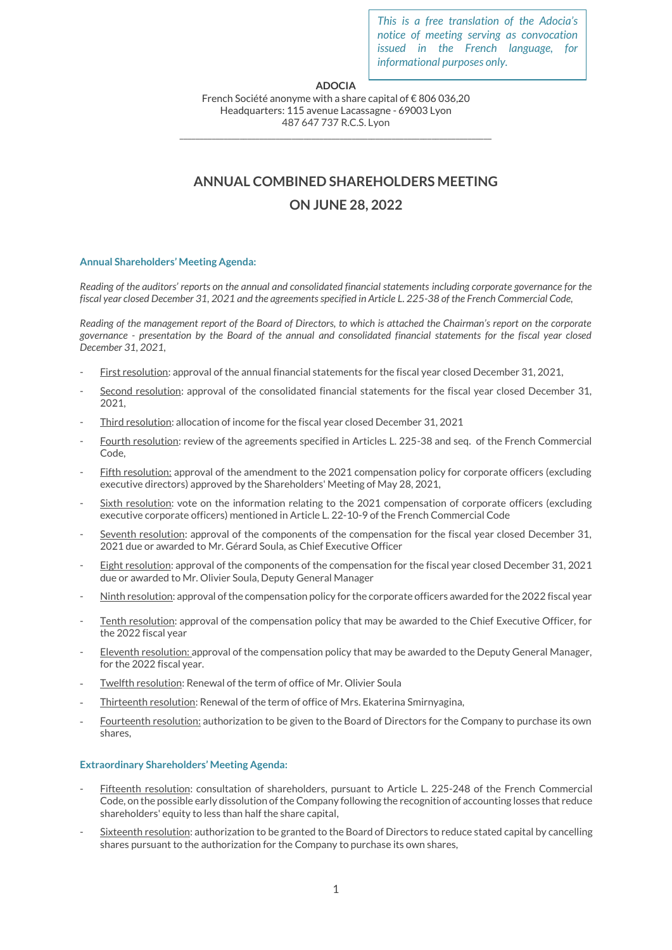*This is a free translation of the Adocia's notice of meeting serving as convocation issued in the French language, for informational purposes only.*

## **ADOCIA**

French Société anonyme with a share capital of € 806 036,20 Headquarters: 115 avenue Lacassagne - 69003 Lyon 487 647 737 R.C.S. Lyon \_\_\_\_\_\_\_\_\_\_\_\_\_\_\_\_\_\_\_\_\_\_\_\_\_\_\_\_\_\_\_\_\_\_\_\_\_\_\_\_\_\_\_\_\_\_\_\_\_\_\_\_\_\_\_\_\_\_\_\_\_\_\_\_\_\_\_\_\_\_\_\_\_\_\_\_\_\_

# **ANNUAL COMBINED SHAREHOLDERS MEETING**

## **ON JUNE 28, 2022**

## **Annual Shareholders' Meeting Agenda:**

*Reading of the auditors' reports on the annual and consolidated financial statements including corporate governance for the fiscal year closed December 31, 2021 and the agreements specified in Article L. 225-38 of the French Commercial Code,*

*Reading of the management report of the Board of Directors, to which is attached the Chairman's report on the corporate governance - presentation by the Board of the annual and consolidated financial statements for the fiscal year closed December 31, 2021*,

- First resolution: approval of the annual financial statements for the fiscal year closed December 31, 2021,
- Second resolution: approval of the consolidated financial statements for the fiscal year closed December 31, 2021,
- Third resolution: allocation of income for the fiscal year closed December 31, 2021
- Fourth resolution: review of the agreements specified in Articles L. 225-38 and seq. of the French Commercial Code,
- Fifth resolution: approval of the amendment to the 2021 compensation policy for corporate officers (excluding executive directors) approved by the Shareholders' Meeting of May 28, 2021,
- Sixth resolution: vote on the information relating to the 2021 compensation of corporate officers (excluding executive corporate officers) mentioned in Article L. 22-10-9 of the French Commercial Code
- Seventh resolution: approval of the components of the compensation for the fiscal year closed December 31, 2021 due or awarded to Mr. Gérard Soula, as Chief Executive Officer
- Eight resolution: approval of the components of the compensation for the fiscal year closed December 31, 2021 due or awarded to Mr. Olivier Soula, Deputy General Manager
- Ninth resolution: approval of the compensation policy for the corporate officers awarded for the 2022 fiscal year
- Tenth resolution: approval of the compensation policy that may be awarded to the Chief Executive Officer, for the 2022 fiscal year
- Eleventh resolution: approval of the compensation policy that may be awarded to the Deputy General Manager, for the 2022 fiscal year.
- Twelfth resolution: Renewal of the term of office of Mr. Olivier Soula
- Thirteenth resolution: Renewal of the term of office of Mrs. Ekaterina Smirnyagina,
- Fourteenth resolution: authorization to be given to the Board of Directors for the Company to purchase its own shares,

## **Extraordinary Shareholders' Meeting Agenda:**

- Fifteenth resolution: consultation of shareholders, pursuant to Article L. 225-248 of the French Commercial Code, on the possible early dissolution of the Company following the recognition of accounting losses that reduce shareholders' equity to less than half the share capital,
- Sixteenth resolution: authorization to be granted to the Board of Directors to reduce stated capital by cancelling shares pursuant to the authorization for the Company to purchase its own shares,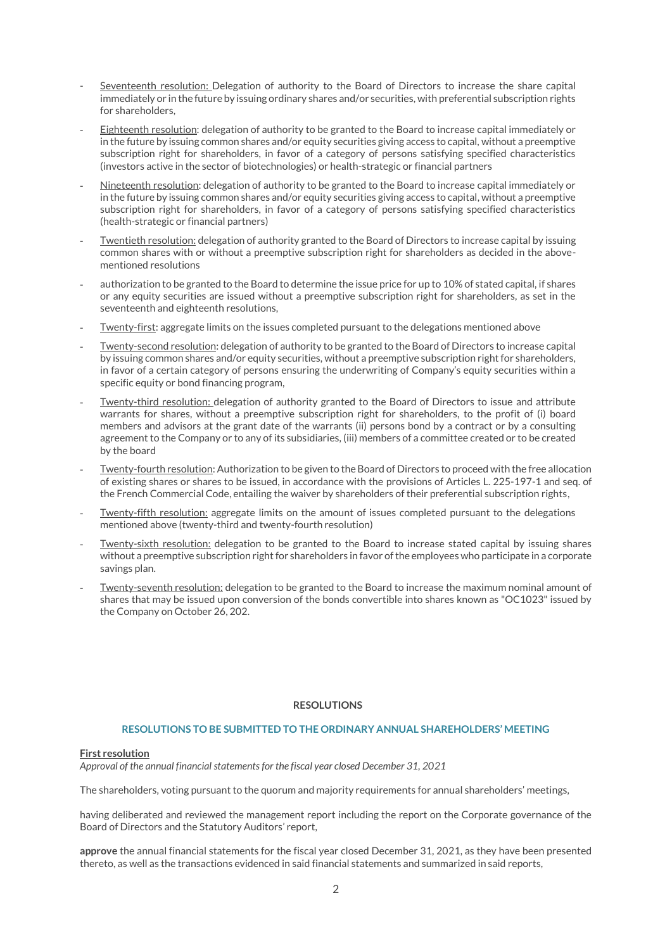- Seventeenth resolution: Delegation of authority to the Board of Directors to increase the share capital immediately or in the future by issuing ordinary shares and/or securities, with preferential subscription rights for shareholders,
- Eighteenth resolution: delegation of authority to be granted to the Board to increase capital immediately or in the future by issuing common shares and/or equity securities giving access to capital, without a preemptive subscription right for shareholders, in favor of a category of persons satisfying specified characteristics (investors active in the sector of biotechnologies) or health-strategic or financial partners
- Nineteenth resolution: delegation of authority to be granted to the Board to increase capital immediately or in the future by issuing common shares and/or equity securities giving access to capital, without a preemptive subscription right for shareholders, in favor of a category of persons satisfying specified characteristics (health-strategic or financial partners)
- Twentieth resolution: delegation of authority granted to the Board of Directors to increase capital by issuing common shares with or without a preemptive subscription right for shareholders as decided in the abovementioned resolutions
- authorization to be granted to the Board to determine the issue price for up to 10% of stated capital, if shares or any equity securities are issued without a preemptive subscription right for shareholders, as set in the seventeenth and eighteenth resolutions,
- Twenty-first: aggregate limits on the issues completed pursuant to the delegations mentioned above
- Twenty-second resolution: delegation of authority to be granted to the Board of Directors to increase capital by issuing common shares and/or equity securities, without a preemptive subscription right for shareholders, in favor of a certain category of persons ensuring the underwriting of Company's equity securities within a specific equity or bond financing program,
- Twenty-third resolution: delegation of authority granted to the Board of Directors to issue and attribute warrants for shares, without a preemptive subscription right for shareholders, to the profit of (i) board members and advisors at the grant date of the warrants (ii) persons bond by a contract or by a consulting agreement to the Company or to any of its subsidiaries, (iii) members of a committee created or to be created by the board
- Twenty-fourth resolution: Authorization to be given to the Board of Directors to proceed with the free allocation of existing shares or shares to be issued, in accordance with the provisions of Articles L. 225-197-1 and seq. of the French Commercial Code, entailing the waiver by shareholders of their preferential subscription rights,
- Twenty-fifth resolution: aggregate limits on the amount of issues completed pursuant to the delegations mentioned above (twenty-third and twenty-fourth resolution)
- Twenty-sixth resolution: delegation to be granted to the Board to increase stated capital by issuing shares without a preemptive subscription right for shareholders in favor of the employees who participate in a corporate savings plan.
- Twenty-seventh resolution: delegation to be granted to the Board to increase the maximum nominal amount of shares that may be issued upon conversion of the bonds convertible into shares known as "OC1023" issued by the Company on October 26, 202.

## **RESOLUTIONS**

## **RESOLUTIONS TO BE SUBMITTED TO THE ORDINARY ANNUAL SHAREHOLDERS' MEETING**

#### **First resolution**

*Approval of the annual financial statements for the fiscal year closed December 31, 2021*

The shareholders, voting pursuant to the quorum and majority requirements for annual shareholders' meetings,

having deliberated and reviewed the management report including the report on the Corporate governance of the Board of Directors and the Statutory Auditors' report,

**approve** the annual financial statements for the fiscal year closed December 31, 2021, as they have been presented thereto, as well as the transactions evidenced in said financial statements and summarized in said reports,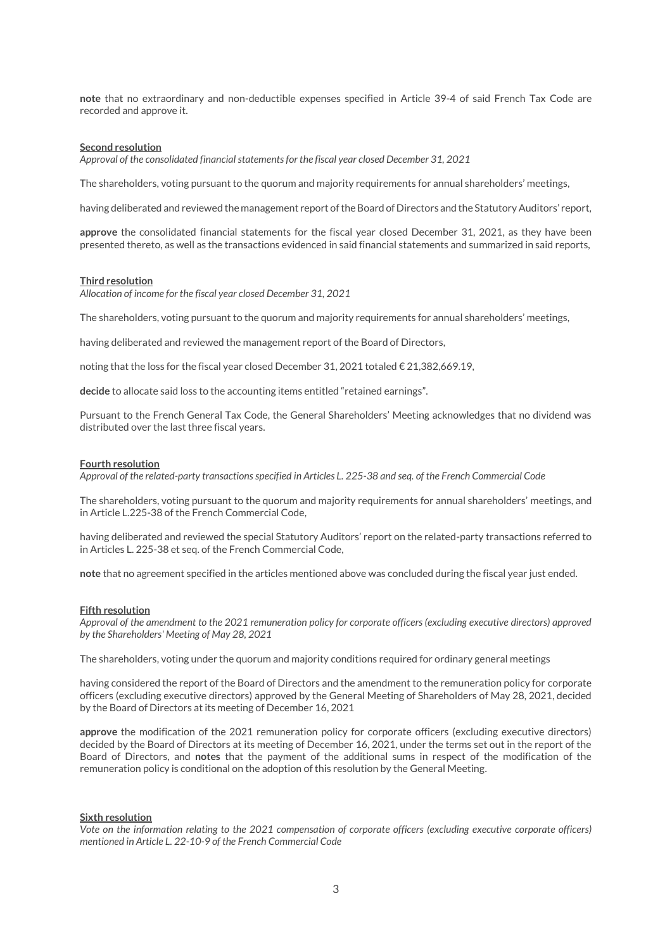**note** that no extraordinary and non-deductible expenses specified in Article 39-4 of said French Tax Code are recorded and approve it.

#### **Second resolution**

*Approval of the consolidated financial statements for the fiscal year closed December 31, 2021*

The shareholders, voting pursuant to the quorum and majority requirements for annual shareholders' meetings,

having deliberated and reviewed the management report of the Board of Directors and the Statutory Auditors' report,

**approve** the consolidated financial statements for the fiscal year closed December 31, 2021, as they have been presented thereto, as well as the transactions evidenced in said financial statements and summarized in said reports,

#### **Third resolution**

*Allocation of income for the fiscal year closed December 31, 2021*

The shareholders, voting pursuant to the quorum and majority requirements for annual shareholders' meetings,

having deliberated and reviewed the management report of the Board of Directors,

noting that the loss for the fiscal year closed December 31, 2021 totaled  $\epsilon$  21,382,669.19,

**decide** to allocate said loss to the accounting items entitled "retained earnings".

Pursuant to the French General Tax Code, the General Shareholders' Meeting acknowledges that no dividend was distributed over the last three fiscal years.

#### **Fourth resolution**

*Approval of the related-party transactions specified in Articles L. 225-38 and seq. of the French Commercial Code*

The shareholders, voting pursuant to the quorum and majority requirements for annual shareholders' meetings, and in Article L.225-38 of the French Commercial Code,

having deliberated and reviewed the special Statutory Auditors' report on the related-party transactions referred to in Articles L. 225-38 et seq. of the French Commercial Code,

**note** that no agreement specified in the articles mentioned above was concluded during the fiscal year just ended.

#### **Fifth resolution**

*Approval of the amendment to the 2021 remuneration policy for corporate officers (excluding executive directors) approved by the Shareholders' Meeting of May 28, 2021*

The shareholders, voting under the quorum and majority conditions required for ordinary general meetings

having considered the report of the Board of Directors and the amendment to the remuneration policy for corporate officers (excluding executive directors) approved by the General Meeting of Shareholders of May 28, 2021, decided by the Board of Directors at its meeting of December 16, 2021

**approve** the modification of the 2021 remuneration policy for corporate officers (excluding executive directors) decided by the Board of Directors at its meeting of December 16, 2021, under the terms set out in the report of the Board of Directors, and **notes** that the payment of the additional sums in respect of the modification of the remuneration policy is conditional on the adoption of this resolution by the General Meeting.

#### **Sixth resolution**

*Vote on the information relating to the 2021 compensation of corporate officers (excluding executive corporate officers) mentioned in Article L. 22-10-9 of the French Commercial Code*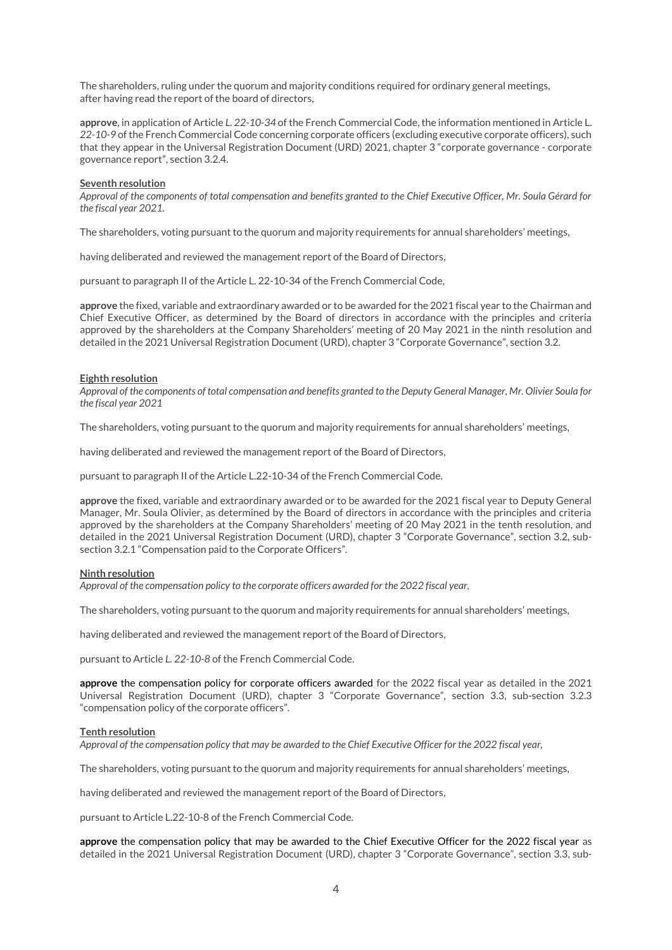The shareholders, ruling under the quorum and majority conditions required for ordinary general meetings, after having read the report of the board of directors,

**approve**, in application of Article *L. 22-10-34* of the French Commercial Code, the information mentioned in Article L. *22-10-9* of the French Commercial Code concerning corporate officers (excluding executive corporate officers), such that they appear in the Universal Registration Document (URD) 2021, chapter 3 "corporate governance - corporate governance report", section 3.2.4.

#### **Seventh resolution**

*Approval of the components of total compensation and benefits granted to the Chief Executive Officer, Mr. Soula Gérard for the fiscal year 2021.*

The shareholders, voting pursuant to the quorum and majority requirements for annual shareholders' meetings,

having deliberated and reviewed the management report of the Board of Directors,

pursuant to paragraph II of the Article L. 22-10-34 ofthe French Commercial Code,

**approve** the fixed, variable and extraordinary awarded or to be awarded for the 2021 fiscal year to the Chairman and Chief Executive Officer, as determined by the Board of directors in accordance with the principles and criteria approved by the shareholders at the Company Shareholders' meeting of 20 May 2021 in the ninth resolution and detailed in the 2021 Universal Registration Document (URD), chapter 3 "Corporate Governance", section 3.2.

#### **Eighth resolution**

*Approval of the components of total compensation and benefits granted to the Deputy General Manager, Mr. Olivier Soula for the fiscal year 2021*

The shareholders, voting pursuant to the quorum and majority requirements for annual shareholders' meetings,

having deliberated and reviewed the management report of the Board of Directors,

pursuant to paragraph II of the Article L.22-10-34 of the French Commercial Code.

**approve** the fixed, variable and extraordinary awarded or to be awarded for the 2021 fiscal year to Deputy General Manager, Mr. Soula Olivier, as determined by the Board of directors in accordance with the principles and criteria approved by the shareholders at the Company Shareholders' meeting of 20 May 2021 in the tenth resolution, and detailed in the 2021 Universal Registration Document (URD), chapter 3 "Corporate Governance", section 3.2, subsection 3.2.1 "Compensation paid to the Corporate Officers".

#### **Ninth resolution**

*Approval of the compensation policy to the corporate officers awarded for the 2022 fiscal year,*

The shareholders, voting pursuant to the quorum and majority requirements for annual shareholders' meetings,

having deliberated and reviewed the management report of the Board of Directors,

pursuant to Article *L. 22-10-8* of the French Commercial Code.

**approve** the compensation policy for corporate officers awarded for the 2022 fiscal year as detailed in the 2021 Universal Registration Document (URD), chapter 3 "Corporate Governance", section 3.3, sub-section 3.2.3 "compensation policy of the corporate officers".

#### **Tenth resolution**

*Approval of the compensation policy that may be awarded to the Chief Executive Officer for the 2022 fiscal year,*

The shareholders, voting pursuant to the quorum and majority requirements for annual shareholders' meetings,

having deliberated and reviewed the management report of the Board of Directors,

pursuant to Article L.22-10-8 of the French Commercial Code.

**approve** the compensation policy that may be awarded to the Chief Executive Officer for the 2022 fiscal year as detailed in the 2021 Universal Registration Document (URD), chapter 3 "Corporate Governance", section 3.3, sub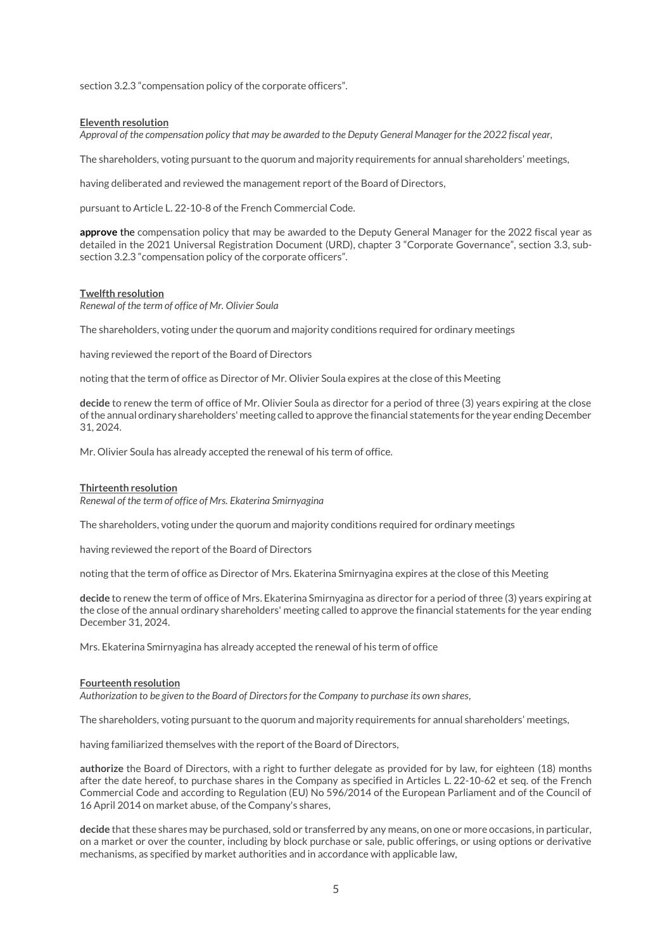section 3.2.3 "compensation policy of the corporate officers".

#### **Eleventh resolution**

*Approval of the compensation policy that may be awarded to the Deputy General Manager for the 2022 fiscal year,*

The shareholders, voting pursuant to the quorum and majority requirements for annual shareholders' meetings,

having deliberated and reviewed the management report of the Board of Directors,

pursuant to Article L. 22-10-8 of the French Commercial Code.

**approve** the compensation policy that may be awarded to the Deputy General Manager for the 2022 fiscal year as detailed in the 2021 Universal Registration Document (URD), chapter 3 "Corporate Governance", section 3.3, subsection 3.2.3 "compensation policy of the corporate officers".

#### **Twelfth resolution**

*Renewal of the term of office of Mr. Olivier Soula*

The shareholders, voting under the quorum and majority conditions required for ordinary meetings

having reviewed the report of the Board of Directors

noting that the term of office as Director of Mr. Olivier Soula expires at the close of this Meeting

**decide** to renew the term of office of Mr. Olivier Soula as director for a period of three (3) years expiring at the close of the annual ordinary shareholders' meeting called to approve the financial statements for the year ending December 31, 2024.

Mr. Olivier Soula has already accepted the renewal of his term of office.

#### **Thirteenth resolution**

*Renewal of the term of office of Mrs. Ekaterina Smirnyagina*

The shareholders, voting under the quorum and majority conditions required for ordinary meetings

having reviewed the report of the Board of Directors

noting that the term of office as Director of Mrs. Ekaterina Smirnyagina expires at the close of this Meeting

**decide** to renew the term of office of Mrs. Ekaterina Smirnyagina as director for a period of three (3) years expiring at the close of the annual ordinary shareholders' meeting called to approve the financial statements for the year ending December 31, 2024.

Mrs. Ekaterina Smirnyagina has already accepted the renewal of his term of office

#### **Fourteenth resolution**

*Authorization to be given to the Board of Directors for the Company to purchase its own shares,*

The shareholders, voting pursuant to the quorum and majority requirements for annual shareholders' meetings,

having familiarized themselves with the report of the Board of Directors,

**authorize** the Board of Directors, with a right to further delegate as provided for by law, for eighteen (18) months after the date hereof, to purchase shares in the Company as specified in Articles L. 22-10-62 et seq. of the French Commercial Code and according to Regulation (EU) No 596/2014 of the European Parliament and of the Council of 16 April 2014 on market abuse, of the Company's shares,

**decide** that these shares may be purchased, sold or transferred by any means, on one or more occasions, in particular, on a market or over the counter, including by block purchase or sale, public offerings, or using options or derivative mechanisms, as specified by market authorities and in accordance with applicable law,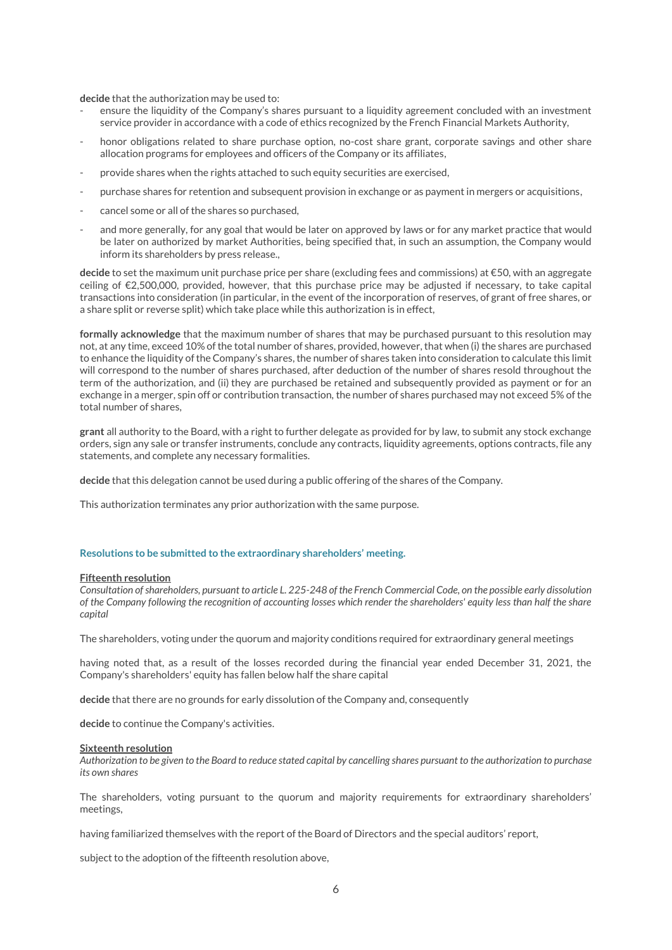**decide** that the authorization may be used to:

- ensure the liquidity of the Company's shares pursuant to a liquidity agreement concluded with an investment service provider in accordance with a code of ethics recognized by the French Financial Markets Authority,
- honor obligations related to share purchase option, no-cost share grant, corporate savings and other share allocation programs for employees and officers of the Company or its affiliates,
- provide shares when the rights attached to such equity securities are exercised,
- purchase shares for retention and subsequent provision in exchange or as payment in mergers or acquisitions,
- cancel some or all of the shares so purchased,
- and more generally, for any goal that would be later on approved by laws or for any market practice that would be later on authorized by market Authorities, being specified that, in such an assumption, the Company would inform its shareholders by press release.,

**decide** to set the maximum unit purchase price per share (excluding fees and commissions) at €50, with an aggregate ceiling of €2,500,000, provided, however, that this purchase price may be adjusted if necessary, to take capital transactions into consideration (in particular, in the event of the incorporation of reserves, of grant of free shares, or a share split or reverse split) which take place while this authorization is in effect,

**formally acknowledge** that the maximum number of shares that may be purchased pursuant to this resolution may not, at any time, exceed 10% of the total number of shares, provided, however, that when (i) the shares are purchased to enhance the liquidity of the Company's shares, the number of shares taken into consideration to calculate this limit will correspond to the number of shares purchased, after deduction of the number of shares resold throughout the term of the authorization, and (ii) they are purchased be retained and subsequently provided as payment or for an exchange in a merger, spin off or contribution transaction, the number of shares purchased may not exceed 5% of the total number of shares,

**grant** all authority to the Board, with a right to further delegate as provided for by law, to submit any stock exchange orders, sign any sale or transfer instruments, conclude any contracts, liquidity agreements, options contracts, file any statements, and complete any necessary formalities.

**decide** that this delegation cannot be used during a public offering of the shares of the Company.

This authorization terminates any prior authorization with the same purpose.

#### **Resolutions to be submitted to the extraordinary shareholders' meeting.**

#### **Fifteenth resolution**

*Consultation of shareholders, pursuant to article L. 225-248 of the French Commercial Code, on the possible early dissolution of the Company following the recognition of accounting losses which render the shareholders' equity less than half the share capital*

The shareholders, voting under the quorum and majority conditions required for extraordinary general meetings

having noted that, as a result of the losses recorded during the financial year ended December 31, 2021, the Company's shareholders' equity has fallen below half the share capital

**decide** that there are no grounds for early dissolution of the Company and, consequently

**decide** to continue the Company's activities.

#### **Sixteenth resolution**

*Authorization to be given to the Board to reduce stated capital by cancelling shares pursuant to the authorization to purchase its own shares*

The shareholders, voting pursuant to the quorum and majority requirements for extraordinary shareholders' meetings,

having familiarized themselves with the report of the Board of Directors and the special auditors' report,

subject to the adoption of the fifteenth resolution above,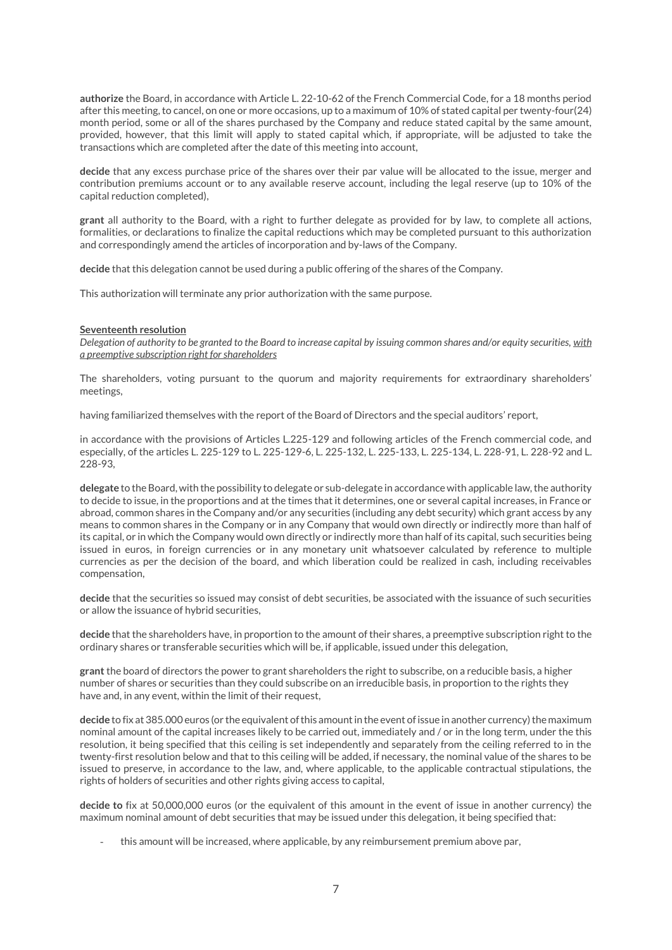**authorize** the Board, in accordance with Article L. 22-10-62 of the French Commercial Code, for a 18 months period after this meeting, to cancel, on one or more occasions, up to a maximum of 10% of stated capital per twenty-four(24) month period, some or all of the shares purchased by the Company and reduce stated capital by the same amount, provided, however, that this limit will apply to stated capital which, if appropriate, will be adjusted to take the transactions which are completed after the date of this meeting into account,

**decide** that any excess purchase price of the shares over their par value will be allocated to the issue, merger and contribution premiums account or to any available reserve account, including the legal reserve (up to 10% of the capital reduction completed),

**grant** all authority to the Board, with a right to further delegate as provided for by law, to complete all actions, formalities, or declarations to finalize the capital reductions which may be completed pursuant to this authorization and correspondingly amend the articles of incorporation and by-laws of the Company.

**decide** that this delegation cannot be used during a public offering of the shares of the Company.

This authorization will terminate any prior authorization with the same purpose.

#### **Seventeenth resolution**

*Delegation of authority to be granted to the Board to increase capital by issuing common shares and/or equity securities, with a preemptive subscription right for shareholders*

The shareholders, voting pursuant to the quorum and majority requirements for extraordinary shareholders' meetings,

having familiarized themselves with the report of the Board of Directors and the special auditors' report,

in accordance with the provisions of Articles L.225-129 and following articles of the French commercial code, and especially, of the articles L. 225-129 to L. 225-129-6, L. 225-132, L. 225-133, L. 225-134, L. 228-91, L. 228-92 and L. 228-93,

**delegate** to the Board, with the possibility to delegate or sub-delegate in accordance with applicable law, the authority to decide to issue, in the proportions and at the times that it determines, one or several capital increases, in France or abroad, common shares in the Company and/or any securities (including any debt security) which grant access by any means to common shares in the Company or in any Company that would own directly or indirectly more than half of its capital, or in which the Company would own directly or indirectly more than half of its capital, such securities being issued in euros, in foreign currencies or in any monetary unit whatsoever calculated by reference to multiple currencies as per the decision of the board, and which liberation could be realized in cash, including receivables compensation,

**decide** that the securities so issued may consist of debt securities, be associated with the issuance of such securities or allow the issuance of hybrid securities,

**decide** that the shareholders have, in proportion to the amount of their shares, a preemptive subscription right to the ordinary shares or transferable securities which will be, if applicable, issued under this delegation,

**grant** the board of directors the power to grant shareholders the right to subscribe, on a reducible basis, a higher number of shares or securities than they could subscribe on an irreducible basis, in proportion to the rights they have and, in any event, within the limit of their request,

**decide** to fix at 385.000 euros (or the equivalent of this amount in the event of issue in another currency) the maximum nominal amount of the capital increases likely to be carried out, immediately and / or in the long term, under the this resolution, it being specified that this ceiling is set independently and separately from the ceiling referred to in the twenty-first resolution below and that to this ceiling will be added, if necessary, the nominal value of the shares to be issued to preserve, in accordance to the law, and, where applicable, to the applicable contractual stipulations, the rights of holders of securities and other rights giving access to capital,

**decide to** fix at 50,000,000 euros (or the equivalent of this amount in the event of issue in another currency) the maximum nominal amount of debt securities that may be issued under this delegation, it being specified that:

- this amount will be increased, where applicable, by any reimbursement premium above par,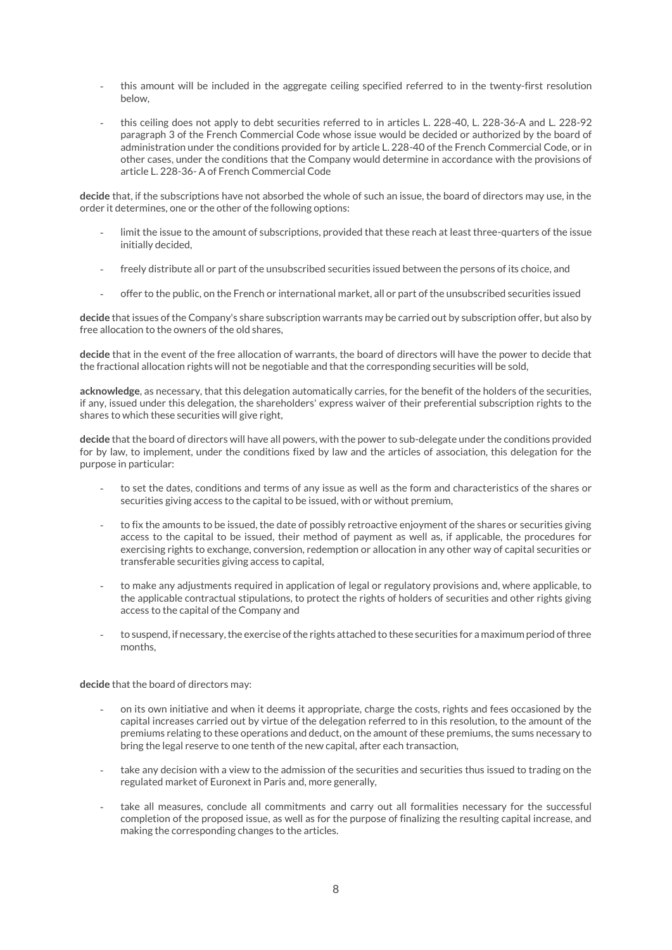- this amount will be included in the aggregate ceiling specified referred to in the twenty-first resolution below,
- this ceiling does not apply to debt securities referred to in articles L. 228-40, L. 228-36-A and L. 228-92 paragraph 3 of the French Commercial Code whose issue would be decided or authorized by the board of administration under the conditions provided for by article L. 228-40 of the French Commercial Code, or in other cases, under the conditions that the Company would determine in accordance with the provisions of article L. 228-36- A of French Commercial Code

**decide** that, if the subscriptions have not absorbed the whole of such an issue, the board of directors may use, in the order it determines, one or the other of the following options:

- limit the issue to the amount of subscriptions, provided that these reach at least three-quarters of the issue initially decided,
- freely distribute all or part of the unsubscribed securities issued between the persons of its choice, and
- offer to the public, on the French or international market, all or part of the unsubscribed securities issued

**decide** that issues of the Company's share subscription warrants may be carried out by subscription offer, but also by free allocation to the owners of the old shares,

**decide** that in the event of the free allocation of warrants, the board of directors will have the power to decide that the fractional allocation rights will not be negotiable and that the corresponding securities will be sold,

**acknowledge**, as necessary, that this delegation automatically carries, for the benefit of the holders of the securities, if any, issued under this delegation, the shareholders' express waiver of their preferential subscription rights to the shares to which these securities will give right,

**decide** that the board of directors will have all powers, with the power to sub-delegate under the conditions provided for by law, to implement, under the conditions fixed by law and the articles of association, this delegation for the purpose in particular:

- to set the dates, conditions and terms of any issue as well as the form and characteristics of the shares or securities giving access to the capital to be issued, with or without premium,
- to fix the amounts to be issued, the date of possibly retroactive enjoyment of the shares or securities giving access to the capital to be issued, their method of payment as well as, if applicable, the procedures for exercising rights to exchange, conversion, redemption or allocation in any other way of capital securities or transferable securities giving access to capital,
- to make any adjustments required in application of legal or regulatory provisions and, where applicable, to the applicable contractual stipulations, to protect the rights of holders of securities and other rights giving access to the capital of the Company and
- to suspend, if necessary, the exercise of the rights attached to these securities for a maximum period of three months,

**decide** that the board of directors may:

- on its own initiative and when it deems it appropriate, charge the costs, rights and fees occasioned by the capital increases carried out by virtue of the delegation referred to in this resolution, to the amount of the premiums relating to these operations and deduct, on the amount of these premiums, the sums necessary to bring the legal reserve to one tenth of the new capital, after each transaction,
- take any decision with a view to the admission of the securities and securities thus issued to trading on the regulated market of Euronext in Paris and, more generally,
- take all measures, conclude all commitments and carry out all formalities necessary for the successful completion of the proposed issue, as well as for the purpose of finalizing the resulting capital increase, and making the corresponding changes to the articles.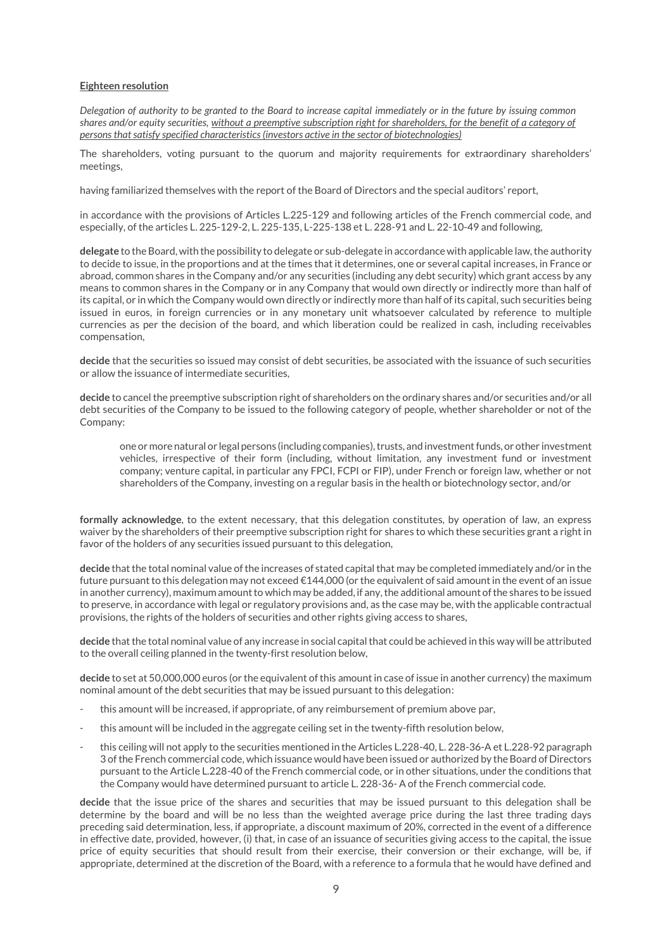## **Eighteen resolution**

*Delegation of authority to be granted to the Board to increase capital immediately or in the future by issuing common shares and/or equity securities, without a preemptive subscription right for shareholders, for the benefit of a category of persons that satisfy specified characteristics (investors active in the sector of biotechnologies)*

The shareholders, voting pursuant to the quorum and majority requirements for extraordinary shareholders' meetings,

having familiarized themselves with the report of the Board of Directors and the special auditors' report,

in accordance with the provisions of Articles L.225-129 and following articles of the French commercial code, and especially, of the articles L. 225-129-2, L. 225-135, L-225-138 et L. 228-91 and L. 22-10-49 and following,

**delegate** to the Board, with the possibility to delegate or sub-delegate in accordance with applicable law, the authority to decide to issue, in the proportions and at the times that it determines, one or several capital increases, in France or abroad, common shares in the Company and/or any securities (including any debt security) which grant access by any means to common shares in the Company or in any Company that would own directly or indirectly more than half of its capital, or in which the Company would own directly or indirectly more than half of its capital, such securities being issued in euros, in foreign currencies or in any monetary unit whatsoever calculated by reference to multiple currencies as per the decision of the board, and which liberation could be realized in cash, including receivables compensation,

**decide** that the securities so issued may consist of debt securities, be associated with the issuance of such securities or allow the issuance of intermediate securities,

**decide** to cancel the preemptive subscription right of shareholders on the ordinary shares and/or securities and/or all debt securities of the Company to be issued to the following category of people, whether shareholder or not of the Company:

one or more natural or legal persons (including companies), trusts, and investment funds, or other investment vehicles, irrespective of their form (including, without limitation, any investment fund or investment company; venture capital, in particular any FPCI, FCPI or FIP), under French or foreign law, whether or not shareholders of the Company, investing on a regular basis in the health or biotechnology sector, and/or

**formally acknowledge**, to the extent necessary, that this delegation constitutes, by operation of law, an express waiver by the shareholders of their preemptive subscription right for shares to which these securities grant a right in favor of the holders of any securities issued pursuant to this delegation,

**decide** that the total nominal value of the increases of stated capital that may be completed immediately and/or in the future pursuant to this delegation may not exceed €144,000 (or the equivalent of said amount in the event of an issue in another currency), maximum amount to which may be added, if any, the additional amount of the shares to be issued to preserve, in accordance with legal or regulatory provisions and, as the case may be, with the applicable contractual provisions, the rights of the holders of securities and other rights giving access to shares,

**decide** that the total nominal value of any increase in social capital that could be achieved in this way will be attributed to the overall ceiling planned in the twenty-first resolution below,

**decide** to set at 50,000,000 euros (or the equivalent of this amount in case of issue in another currency) the maximum nominal amount of the debt securities that may be issued pursuant to this delegation:

- this amount will be increased, if appropriate, of any reimbursement of premium above par,
- this amount will be included in the aggregate ceiling set in the twenty-fifth resolution below,
- this ceiling will not apply to the securities mentioned in the Articles L.228-40, L. 228-36-A et L.228-92 paragraph 3 of the French commercial code, which issuance would have been issued or authorized by the Board of Directors pursuant to the Article L.228-40 of the French commercial code, or in other situations, under the conditions that the Company would have determined pursuant to article L. 228-36- A of the French commercial code.

**decide** that the issue price of the shares and securities that may be issued pursuant to this delegation shall be determine by the board and will be no less than the weighted average price during the last three trading days preceding said determination, less, if appropriate, a discount maximum of 20%, corrected in the event of a difference in effective date, provided, however, (i) that, in case of an issuance of securities giving access to the capital, the issue price of equity securities that should result from their exercise, their conversion or their exchange, will be, if appropriate, determined at the discretion of the Board, with a reference to a formula that he would have defined and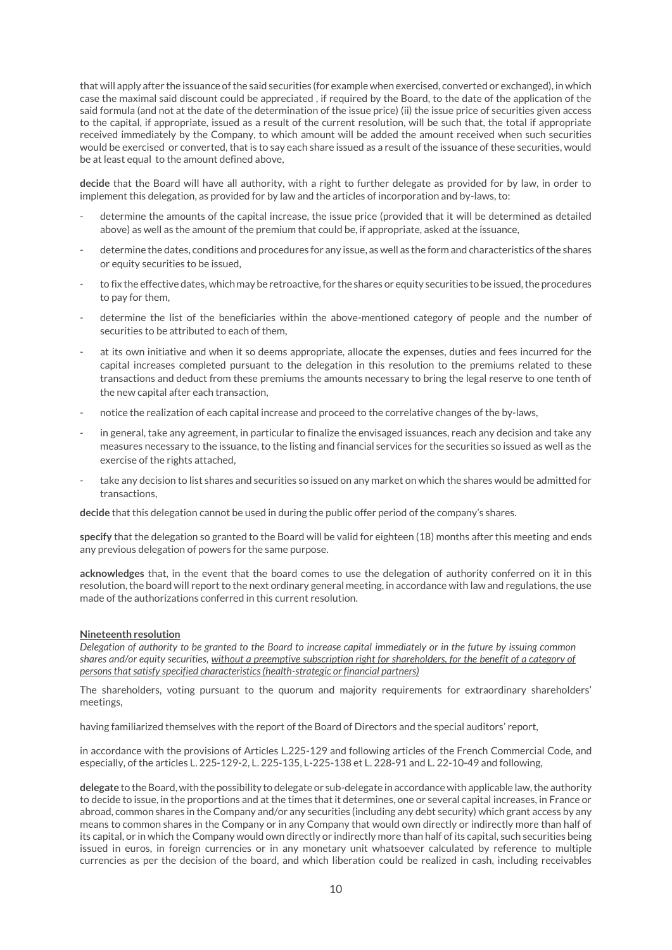that will apply after the issuance of the said securities (for example when exercised, converted or exchanged), in which case the maximal said discount could be appreciated , if required by the Board, to the date of the application of the said formula (and not at the date of the determination of the issue price) (ii) the issue price of securities given access to the capital, if appropriate, issued as a result of the current resolution, will be such that, the total if appropriate received immediately by the Company, to which amount will be added the amount received when such securities would be exercised or converted, that is to say each share issued as a result of the issuance of these securities, would be at least equal to the amount defined above,

**decide** that the Board will have all authority, with a right to further delegate as provided for by law, in order to implement this delegation, as provided for by law and the articles of incorporation and by-laws, to:

- determine the amounts of the capital increase, the issue price (provided that it will be determined as detailed above) as well as the amount of the premium that could be, if appropriate, asked at the issuance,
- determine the dates, conditions and procedures for any issue, as well as the form and characteristics of the shares or equity securities to be issued,
- to fix the effective dates, which may be retroactive, for the shares or equity securities to be issued, the procedures to pay for them,
- determine the list of the beneficiaries within the above-mentioned category of people and the number of securities to be attributed to each of them,
- at its own initiative and when it so deems appropriate, allocate the expenses, duties and fees incurred for the capital increases completed pursuant to the delegation in this resolution to the premiums related to these transactions and deduct from these premiums the amounts necessary to bring the legal reserve to one tenth of the new capital after each transaction,
- notice the realization of each capital increase and proceed to the correlative changes of the by-laws,
- in general, take any agreement, in particular to finalize the envisaged issuances, reach any decision and take any measures necessary to the issuance, to the listing and financial services for the securities so issued as well as the exercise of the rights attached,
- take any decision to list shares and securities so issued on any market on which the shares would be admitted for transactions,

**decide** that this delegation cannot be used in during the public offer period of the company's shares.

**specify** that the delegation so granted to the Board will be valid for eighteen (18) months after this meeting and ends any previous delegation of powers for the same purpose.

**acknowledges** that, in the event that the board comes to use the delegation of authority conferred on it in this resolution, the board will report to the next ordinary general meeting, in accordance with law and regulations, the use made of the authorizations conferred in this current resolution.

#### **Nineteenth resolution**

*Delegation of authority to be granted to the Board to increase capital immediately or in the future by issuing common shares and/or equity securities, without a preemptive subscription right for shareholders, for the benefit of a category of persons that satisfy specified characteristics (health-strategic or financial partners)*

The shareholders, voting pursuant to the quorum and majority requirements for extraordinary shareholders' meetings,

having familiarized themselves with the report of the Board of Directors and the special auditors' report,

in accordance with the provisions of Articles L.225-129 and following articles of the French Commercial Code, and especially, of the articles L. 225-129-2, L. 225-135, L-225-138 et L. 228-91 and L. 22-10-49 and following,

**delegate** to the Board, with the possibility to delegate or sub-delegate in accordance with applicable law, the authority to decide to issue, in the proportions and at the times that it determines, one or several capital increases, in France or abroad, common shares in the Company and/or any securities (including any debt security) which grant access by any means to common shares in the Company or in any Company that would own directly or indirectly more than half of its capital, or in which the Company would own directly or indirectly more than half of its capital, such securities being issued in euros, in foreign currencies or in any monetary unit whatsoever calculated by reference to multiple currencies as per the decision of the board, and which liberation could be realized in cash, including receivables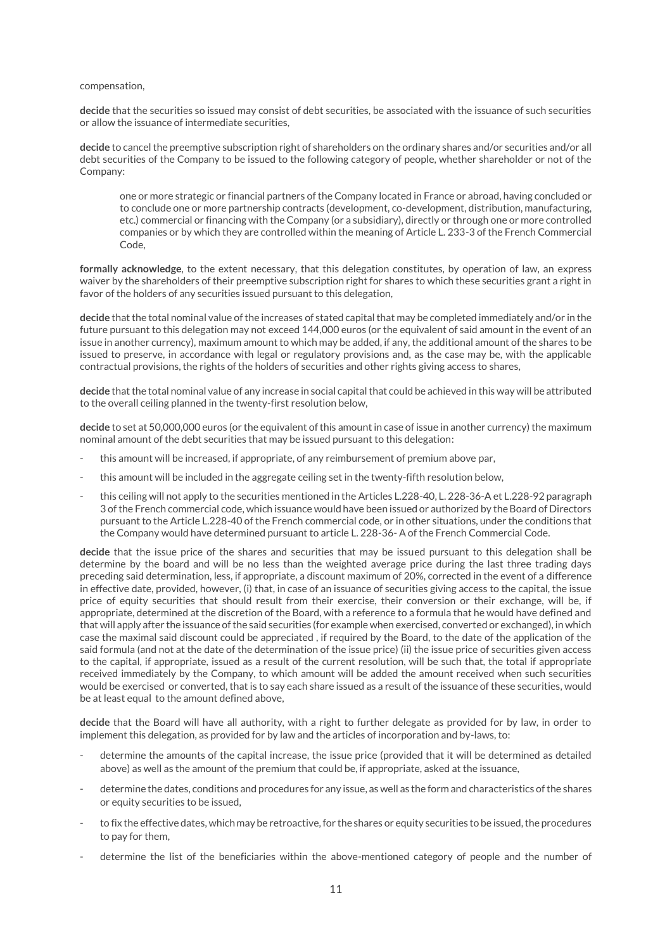#### compensation,

**decide** that the securities so issued may consist of debt securities, be associated with the issuance of such securities or allow the issuance of intermediate securities,

**decide** to cancel the preemptive subscription right of shareholders on the ordinary shares and/or securities and/or all debt securities of the Company to be issued to the following category of people, whether shareholder or not of the Company:

one or more strategic or financial partners of the Company located in France or abroad, having concluded or to conclude one or more partnership contracts (development, co-development, distribution, manufacturing, etc.) commercial or financing with the Company (or a subsidiary), directly or through one or more controlled companies or by which they are controlled within the meaning of Article L. 233-3 of the French Commercial Code,

**formally acknowledge**, to the extent necessary, that this delegation constitutes, by operation of law, an express waiver by the shareholders of their preemptive subscription right for shares to which these securities grant a right in favor of the holders of any securities issued pursuant to this delegation,

**decide** that the total nominal value of the increases of stated capital that may be completed immediately and/or in the future pursuant to this delegation may not exceed 144,000 euros (or the equivalent of said amount in the event of an issue in another currency), maximum amount to which may be added, if any, the additional amount of the shares to be issued to preserve, in accordance with legal or regulatory provisions and, as the case may be, with the applicable contractual provisions, the rights of the holders of securities and other rights giving access to shares,

**decide** that the total nominal value of any increase in social capital that could be achieved in this way will be attributed to the overall ceiling planned in the twenty-first resolution below,

**decide** to set at 50,000,000 euros (or the equivalent of this amount in case of issue in another currency) the maximum nominal amount of the debt securities that may be issued pursuant to this delegation:

- this amount will be increased, if appropriate, of any reimbursement of premium above par,
- this amount will be included in the aggregate ceiling set in the twenty-fifth resolution below,
- this ceiling will not apply to the securities mentioned in the Articles L.228-40, L. 228-36-A et L.228-92 paragraph 3 of the French commercial code, which issuance would have been issued or authorized by the Board of Directors pursuant to the Article L.228-40 of the French commercial code, or in other situations, under the conditions that the Company would have determined pursuant to article L. 228-36- A of the French Commercial Code.

**decide** that the issue price of the shares and securities that may be issued pursuant to this delegation shall be determine by the board and will be no less than the weighted average price during the last three trading days preceding said determination, less, if appropriate, a discount maximum of 20%, corrected in the event of a difference in effective date, provided, however, (i) that, in case of an issuance of securities giving access to the capital, the issue price of equity securities that should result from their exercise, their conversion or their exchange, will be, if appropriate, determined at the discretion of the Board, with a reference to a formula that he would have defined and that will apply after the issuance of the said securities (for example when exercised, converted or exchanged), in which case the maximal said discount could be appreciated , if required by the Board, to the date of the application of the said formula (and not at the date of the determination of the issue price) (ii) the issue price of securities given access to the capital, if appropriate, issued as a result of the current resolution, will be such that, the total if appropriate received immediately by the Company, to which amount will be added the amount received when such securities would be exercised or converted, that is to say each share issued as a result of the issuance of these securities, would be at least equal to the amount defined above,

**decide** that the Board will have all authority, with a right to further delegate as provided for by law, in order to implement this delegation, as provided for by law and the articles of incorporation and by-laws, to:

- determine the amounts of the capital increase, the issue price (provided that it will be determined as detailed above) as well as the amount of the premium that could be, if appropriate, asked at the issuance,
- determine the dates, conditions and procedures for any issue, as well as the form and characteristics of the shares or equity securities to be issued,
- to fix the effective dates, which may be retroactive, for the shares or equity securities to be issued, the procedures to pay for them,
- determine the list of the beneficiaries within the above-mentioned category of people and the number of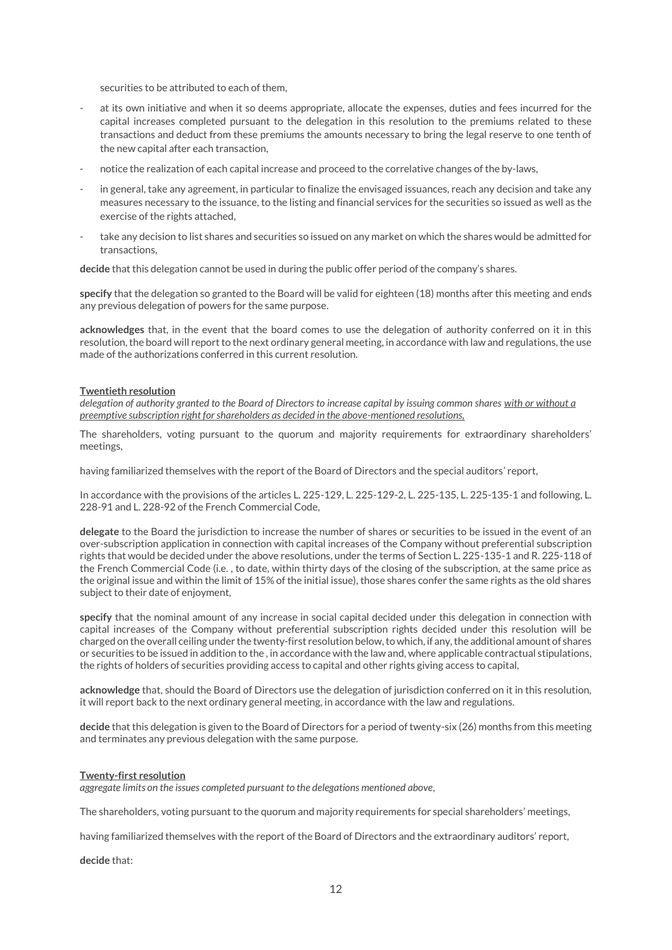securities to be attributed to each of them,

- at its own initiative and when it so deems appropriate, allocate the expenses, duties and fees incurred for the capital increases completed pursuant to the delegation in this resolution to the premiums related to these transactions and deduct from these premiums the amounts necessary to bring the legal reserve to one tenth of the new capital after each transaction,
- notice the realization of each capital increase and proceed to the correlative changes of the by-laws,
- in general, take any agreement, in particular to finalize the envisaged issuances, reach any decision and take any measures necessary to the issuance, to the listing and financial services for the securities so issued as well as the exercise of the rights attached,
- take any decision to list shares and securities so issued on any market on which the shares would be admitted for transactions,

**decide** that this delegation cannot be used in during the public offer period of the company's shares.

**specify** that the delegation so granted to the Board will be valid for eighteen (18) months after this meeting and ends any previous delegation of powers for the same purpose.

**acknowledges** that, in the event that the board comes to use the delegation of authority conferred on it in this resolution, the board will report to the next ordinary general meeting, in accordance with law and regulations, the use made of the authorizations conferred in this current resolution.

#### **Twentieth resolution**

*delegation of authority granted to the Board of Directors to increase capital by issuing common shares with or without a preemptive subscription right for shareholders as decided in the above-mentioned resolutions,*

The shareholders, voting pursuant to the quorum and majority requirements for extraordinary shareholders' meetings,

having familiarized themselves with the report of the Board of Directors and the special auditors' report,

In accordance with the provisions of the articles L. 225-129, L. 225-129-2, L. 225-135, L. 225-135-1 and following, L. 228-91 and L. 228-92 of the French Commercial Code,

**delegate** to the Board the jurisdiction to increase the number of shares or securities to be issued in the event of an over-subscription application in connection with capital increases of the Company without preferential subscription rights that would be decided under the above resolutions, under the terms of Section L. 225-135-1 and R. 225-118 of the French Commercial Code (i.e. , to date, within thirty days of the closing of the subscription, at the same price as the original issue and within the limit of 15% of the initial issue), those shares confer the same rights as the old shares subject to their date of enjoyment,

**specify** that the nominal amount of any increase in social capital decided under this delegation in connection with capital increases of the Company without preferential subscription rights decided under this resolution will be charged on the overall ceiling under the twenty-first resolution below, to which, if any, the additional amount of shares or securities to be issued in addition to the , in accordance with the law and, where applicable contractual stipulations, the rights of holders of securities providing access to capital and other rights giving access to capital,

**acknowledge** that, should the Board of Directors use the delegation of jurisdiction conferred on it in this resolution, it will report back to the next ordinary general meeting, in accordance with the law and regulations.

**decide** that this delegation is given to the Board of Directors for a period of twenty-six (26) months from this meeting and terminates any previous delegation with the same purpose.

#### **Twenty-first resolution**

*aggregate limits on the issues completed pursuant to the delegations mentioned above,*

The shareholders, voting pursuant to the quorum and majority requirements for special shareholders' meetings,

having familiarized themselves with the report of the Board of Directors and the extraordinary auditors' report,

**decide** that: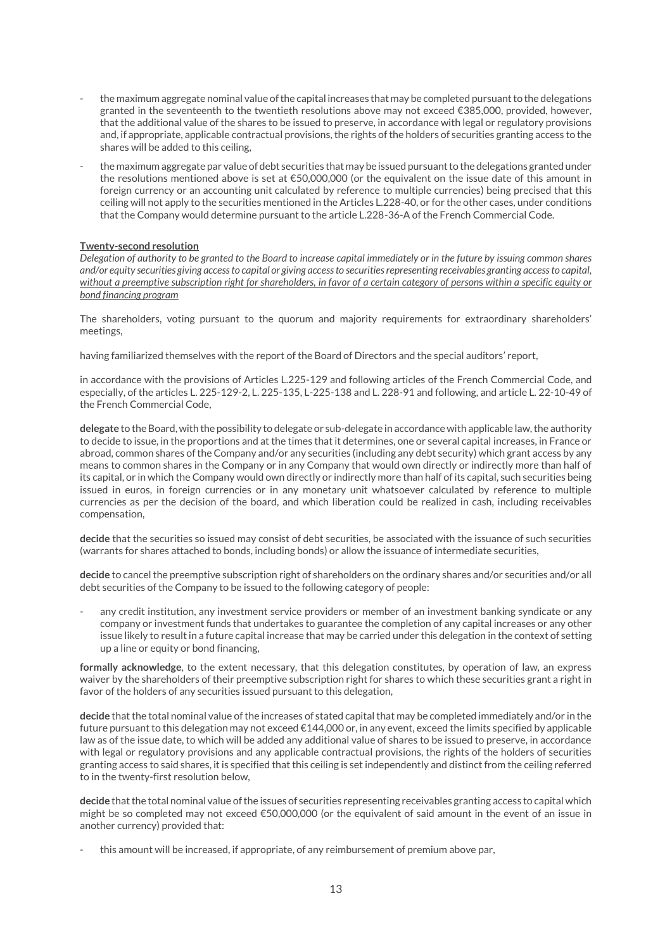- the maximum aggregate nominal value of the capital increases that may be completed pursuant to the delegations granted in the seventeenth to the twentieth resolutions above may not exceed €385,000, provided, however, that the additional value of the shares to be issued to preserve, in accordance with legal or regulatory provisions and, if appropriate, applicable contractual provisions, the rights of the holders of securities granting access to the shares will be added to this ceiling,
- the maximum aggregate par value of debt securities that may be issued pursuant to the delegations granted under the resolutions mentioned above is set at €50,000,000 (or the equivalent on the issue date of this amount in foreign currency or an accounting unit calculated by reference to multiple currencies) being precised that this ceiling will not apply to the securities mentioned in the Articles L.228-40, or for the other cases, under conditions that the Company would determine pursuant to the article L.228-36-A of the French Commercial Code.

#### **Twenty-second resolution**

*Delegation of authority to be granted to the Board to increase capital immediately or in the future by issuing common shares and/or equity securities giving access to capital or giving access to securities representing receivables granting access to capital, without a preemptive subscription right for shareholders, in favor of a certain category of person*s *within a specific equity or bond financing program*

The shareholders, voting pursuant to the quorum and majority requirements for extraordinary shareholders' meetings,

having familiarized themselves with the report of the Board of Directors and the special auditors' report,

in accordance with the provisions of Articles L.225-129 and following articles of the French Commercial Code, and especially, of the articles L. 225-129-2, L. 225-135, L-225-138 and L. 228-91 and following, and article L. 22-10-49 of the French Commercial Code,

**delegate** to the Board, with the possibility to delegate or sub-delegate in accordance with applicable law, the authority to decide to issue, in the proportions and at the times that it determines, one or several capital increases, in France or abroad, common shares of the Company and/or any securities (including any debt security) which grant access by any means to common shares in the Company or in any Company that would own directly or indirectly more than half of its capital, or in which the Company would own directly or indirectly more than half of its capital, such securities being issued in euros, in foreign currencies or in any monetary unit whatsoever calculated by reference to multiple currencies as per the decision of the board, and which liberation could be realized in cash, including receivables compensation,

**decide** that the securities so issued may consist of debt securities, be associated with the issuance of such securities (warrants for shares attached to bonds, including bonds) or allow the issuance of intermediate securities,

**decide** to cancel the preemptive subscription right of shareholders on the ordinary shares and/or securities and/or all debt securities of the Company to be issued to the following category of people:

any credit institution, any investment service providers or member of an investment banking syndicate or any company or investment funds that undertakes to guarantee the completion of any capital increases or any other issue likely to result in a future capital increase that may be carried under this delegation in the context of setting up a line or equity or bond financing,

**formally acknowledge**, to the extent necessary, that this delegation constitutes, by operation of law, an express waiver by the shareholders of their preemptive subscription right for shares to which these securities grant a right in favor of the holders of any securities issued pursuant to this delegation,

**decide** that the total nominal value of the increases of stated capital that may be completed immediately and/or in the future pursuant to this delegation may not exceed €144,000 or, in any event, exceed the limits specified by applicable law as of the issue date, to which will be added any additional value of shares to be issued to preserve, in accordance with legal or regulatory provisions and any applicable contractual provisions, the rights of the holders of securities granting access to said shares, it is specified that this ceiling is set independently and distinct from the ceiling referred to in the twenty-first resolution below,

**decide** that the total nominal value of the issues of securities representing receivables granting access to capital which might be so completed may not exceed €50,000,000 (or the equivalent of said amount in the event of an issue in another currency) provided that:

- this amount will be increased, if appropriate, of any reimbursement of premium above par,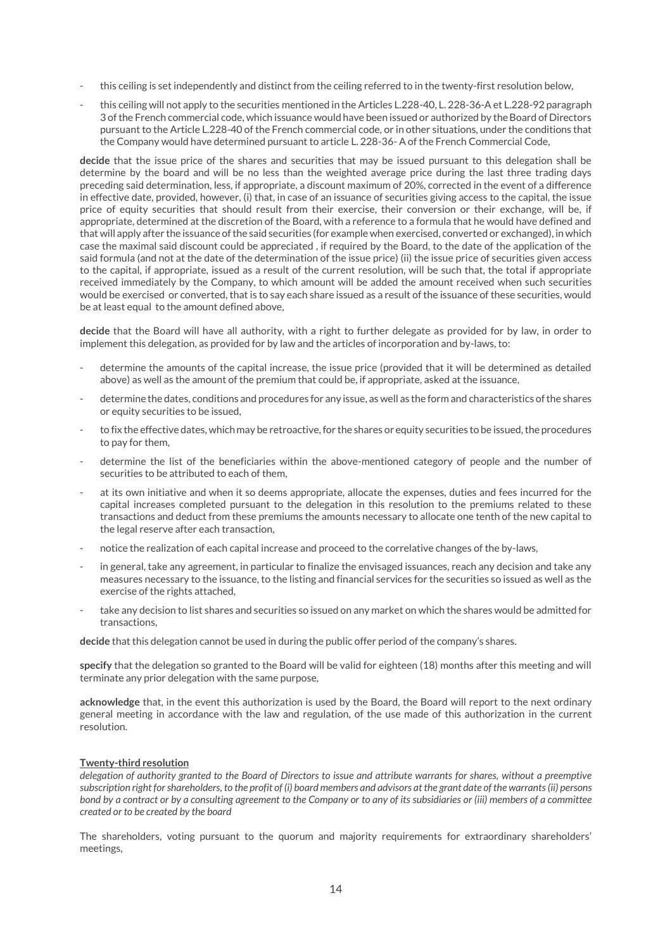- this ceiling is set independently and distinct from the ceiling referred to in the twenty-first resolution below,
- this ceiling will not apply to the securities mentioned in the Articles L.228-40, L. 228-36-A et L.228-92 paragraph 3 of the French commercial code, which issuance would have been issued or authorized by the Board of Directors pursuant to the Article L.228-40 of the French commercial code, or in other situations, under the conditions that the Company would have determined pursuant to article L. 228-36- A of the French Commercial Code,

**decide** that the issue price of the shares and securities that may be issued pursuant to this delegation shall be determine by the board and will be no less than the weighted average price during the last three trading days preceding said determination, less, if appropriate, a discount maximum of 20%, corrected in the event of a difference in effective date, provided, however, (i) that, in case of an issuance of securities giving access to the capital, the issue price of equity securities that should result from their exercise, their conversion or their exchange, will be, if appropriate, determined at the discretion of the Board, with a reference to a formula that he would have defined and that will apply after the issuance of the said securities (for example when exercised, converted or exchanged), in which case the maximal said discount could be appreciated , if required by the Board, to the date of the application of the said formula (and not at the date of the determination of the issue price) (ii) the issue price of securities given access to the capital, if appropriate, issued as a result of the current resolution, will be such that, the total if appropriate received immediately by the Company, to which amount will be added the amount received when such securities would be exercised or converted, that is to say each share issued as a result of the issuance of these securities, would be at least equal to the amount defined above,

**decide** that the Board will have all authority, with a right to further delegate as provided for by law, in order to implement this delegation, as provided for by law and the articles of incorporation and by-laws, to:

- determine the amounts of the capital increase, the issue price (provided that it will be determined as detailed above) as well as the amount of the premium that could be, if appropriate, asked at the issuance,
- determine the dates, conditions and procedures for any issue, as well as the form and characteristics of the shares or equity securities to be issued,
- to fix the effective dates, which may be retroactive, for the shares or equity securities to be issued, the procedures to pay for them,
- determine the list of the beneficiaries within the above-mentioned category of people and the number of securities to be attributed to each of them,
- at its own initiative and when it so deems appropriate, allocate the expenses, duties and fees incurred for the capital increases completed pursuant to the delegation in this resolution to the premiums related to these transactions and deduct from these premiums the amounts necessary to allocate one tenth of the new capital to the legal reserve after each transaction,
- notice the realization of each capital increase and proceed to the correlative changes of the by-laws,
- in general, take any agreement, in particular to finalize the envisaged issuances, reach any decision and take any measures necessary to the issuance, to the listing and financial services for the securities so issued as well as the exercise of the rights attached,
- take any decision to list shares and securities so issued on any market on which the shares would be admitted for transactions,

**decide** that this delegation cannot be used in during the public offer period of the company's shares.

**specify** that the delegation so granted to the Board will be valid for eighteen (18) months after this meeting and will terminate any prior delegation with the same purpose,

**acknowledge** that, in the event this authorization is used by the Board, the Board will report to the next ordinary general meeting in accordance with the law and regulation, of the use made of this authorization in the current resolution.

#### **Twenty-third resolution**

*delegation of authority granted to the Board of Directors to issue and attribute warrants for shares, without a preemptive subscription right for shareholders, to the profit of (i) board members and advisors at the grant date of the warrants (ii) persons bond by a contract or by a consulting agreement to the Company or to any of its subsidiaries or (iii) members of a committee created or to be created by the board*

The shareholders, voting pursuant to the quorum and majority requirements for extraordinary shareholders' meetings,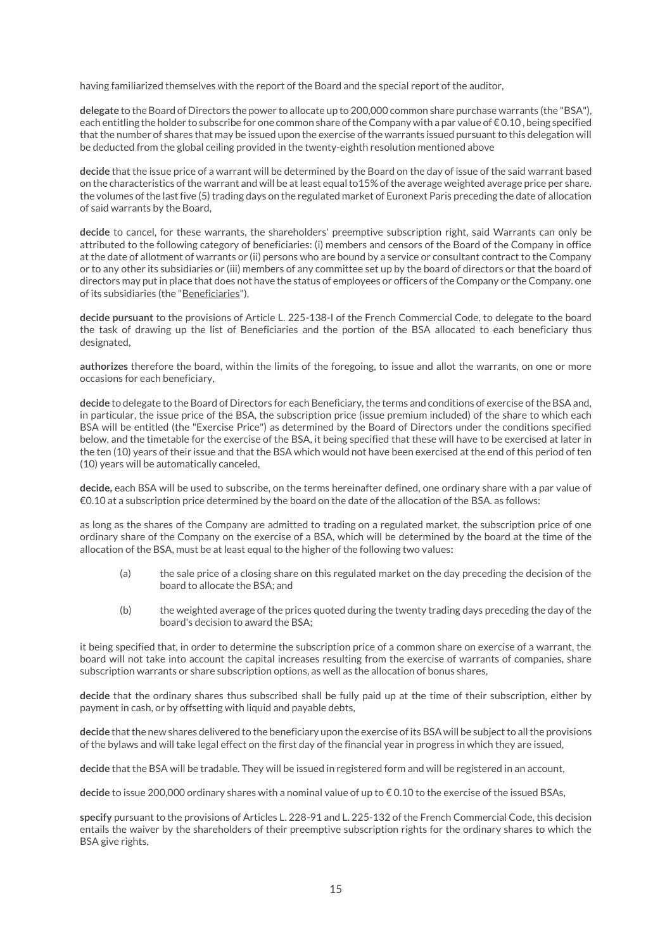having familiarized themselves with the report of the Board and the special report of the auditor,

**delegate** to the Board of Directors the power to allocate up to 200,000 common share purchase warrants (the "BSA"), each entitling the holder to subscribe for one common share of the Company with a par value of  $\epsilon$  0.10, being specified that the number of shares that may be issued upon the exercise of the warrants issued pursuant to this delegation will be deducted from the global ceiling provided in the twenty-eighth resolution mentioned above

**decide** that the issue price of a warrant will be determined by the Board on the day of issue of the said warrant based on the characteristics of the warrant and will be at least equal to15% of the average weighted average price per share. the volumes of the last five (5) trading days on the regulated market of Euronext Paris preceding the date of allocation of said warrants by the Board,

**decide** to cancel, for these warrants, the shareholders' preemptive subscription right, said Warrants can only be attributed to the following category of beneficiaries: (i) members and censors of the Board of the Company in office at the date of allotment of warrants or (ii) persons who are bound by a service or consultant contract to the Company or to any other its subsidiaries or (iii) members of any committee set up by the board of directors or that the board of directors may put in place that does not have the status of employees or officers of the Company or the Company. one of its subsidiaries (the "Beneficiaries"),

**decide pursuant** to the provisions of Article L. 225-138-I of the French Commercial Code, to delegate to the board the task of drawing up the list of Beneficiaries and the portion of the BSA allocated to each beneficiary thus designated,

**authorizes** therefore the board, within the limits of the foregoing, to issue and allot the warrants, on one or more occasions for each beneficiary,

**decide** to delegate to the Board of Directors for each Beneficiary, the terms and conditions of exercise of the BSA and, in particular, the issue price of the BSA, the subscription price (issue premium included) of the share to which each BSA will be entitled (the "Exercise Price") as determined by the Board of Directors under the conditions specified below, and the timetable for the exercise of the BSA, it being specified that these will have to be exercised at later in the ten (10) years of their issue and that the BSA which would not have been exercised at the end of this period of ten (10) years will be automatically canceled,

**decide,** each BSA will be used to subscribe, on the terms hereinafter defined, one ordinary share with a par value of €0.10 at a subscription price determined by the board on the date of the allocation of the BSA. as follows:

as long as the shares of the Company are admitted to trading on a regulated market, the subscription price of one ordinary share of the Company on the exercise of a BSA, which will be determined by the board at the time of the allocation of the BSA, must be at least equal to the higher of the following two values**:**

- (a) the sale price of a closing share on this regulated market on the day preceding the decision of the board to allocate the BSA; and
- (b) the weighted average of the prices quoted during the twenty trading days preceding the day of the board's decision to award the BSA;

it being specified that, in order to determine the subscription price of a common share on exercise of a warrant, the board will not take into account the capital increases resulting from the exercise of warrants of companies, share subscription warrants or share subscription options, as well as the allocation of bonus shares,

**decide** that the ordinary shares thus subscribed shall be fully paid up at the time of their subscription, either by payment in cash, or by offsetting with liquid and payable debts,

**decide** that the new shares delivered to the beneficiary upon the exercise of its BSA will be subject to all the provisions of the bylaws and will take legal effect on the first day of the financial year in progress in which they are issued,

**decide** that the BSA will be tradable. They will be issued in registered form and will be registered in an account,

**decide** to issue 200,000 ordinary shares with a nominal value of up to € 0.10 to the exercise of the issued BSAs,

**specify** pursuant to the provisions of Articles L. 228-91 and L. 225-132 of the French Commercial Code, this decision entails the waiver by the shareholders of their preemptive subscription rights for the ordinary shares to which the BSA give rights,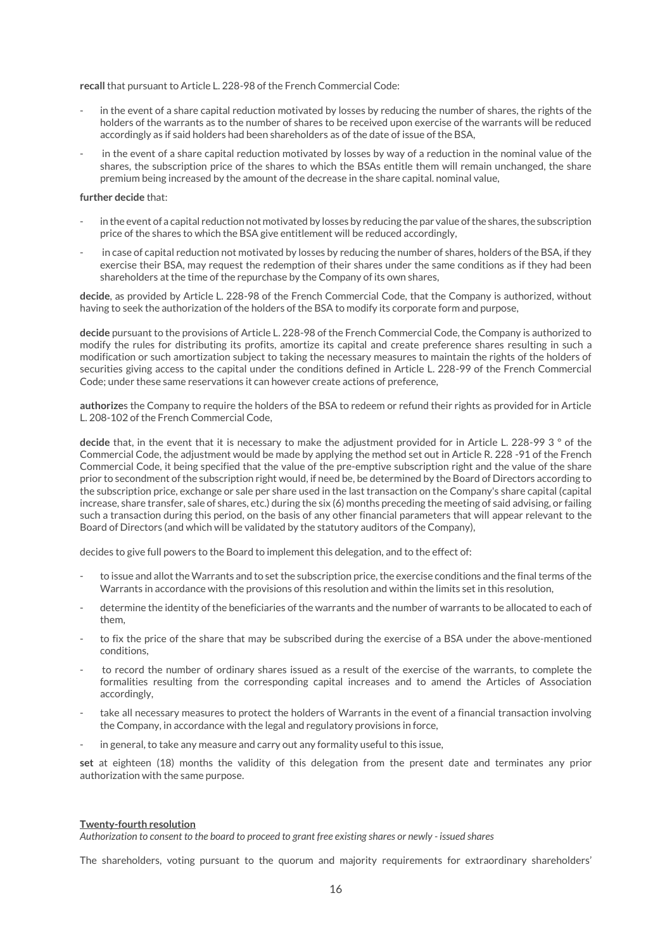**recall** that pursuant to Article L. 228-98 of the French Commercial Code:

- in the event of a share capital reduction motivated by losses by reducing the number of shares, the rights of the holders of the warrants as to the number of shares to be received upon exercise of the warrants will be reduced accordingly as if said holders had been shareholders as of the date of issue of the BSA,
- in the event of a share capital reduction motivated by losses by way of a reduction in the nominal value of the shares, the subscription price of the shares to which the BSAs entitle them will remain unchanged, the share premium being increased by the amount of the decrease in the share capital. nominal value,

#### **further decide** that:

- in the event of a capital reduction not motivated by losses by reducing the par value of the shares, the subscription price of the shares to which the BSA give entitlement will be reduced accordingly,
- in case of capital reduction not motivated by losses by reducing the number of shares, holders of the BSA, if they exercise their BSA, may request the redemption of their shares under the same conditions as if they had been shareholders at the time of the repurchase by the Company of its own shares,

**decide**, as provided by Article L. 228-98 of the French Commercial Code, that the Company is authorized, without having to seek the authorization of the holders of the BSA to modify its corporate form and purpose,

**decide** pursuant to the provisions of Article L. 228-98 of the French Commercial Code, the Company is authorized to modify the rules for distributing its profits, amortize its capital and create preference shares resulting in such a modification or such amortization subject to taking the necessary measures to maintain the rights of the holders of securities giving access to the capital under the conditions defined in Article L. 228-99 of the French Commercial Code; under these same reservations it can however create actions of preference,

**authorize**s the Company to require the holders of the BSA to redeem or refund their rights as provided for in Article L. 208-102 of the French Commercial Code,

**decide** that, in the event that it is necessary to make the adjustment provided for in Article L. 228-99 3 ° of the Commercial Code, the adjustment would be made by applying the method set out in Article R. 228 -91 of the French Commercial Code, it being specified that the value of the pre-emptive subscription right and the value of the share prior to secondment of the subscription right would, if need be, be determined by the Board of Directors according to the subscription price, exchange or sale per share used in the last transaction on the Company's share capital (capital increase, share transfer, sale of shares, etc.) during the six (6) months preceding the meeting of said advising, or failing such a transaction during this period, on the basis of any other financial parameters that will appear relevant to the Board of Directors (and which will be validated by the statutory auditors of the Company),

decides to give full powers to the Board to implement this delegation, and to the effect of:

- to issue and allot the Warrants and to set the subscription price, the exercise conditions and the final terms of the Warrants in accordance with the provisions of this resolution and within the limits set in this resolution,
- determine the identity of the beneficiaries of the warrants and the number of warrants to be allocated to each of them,
- to fix the price of the share that may be subscribed during the exercise of a BSA under the above-mentioned conditions,
- to record the number of ordinary shares issued as a result of the exercise of the warrants, to complete the formalities resulting from the corresponding capital increases and to amend the Articles of Association accordingly,
- take all necessary measures to protect the holders of Warrants in the event of a financial transaction involving the Company, in accordance with the legal and regulatory provisions in force,
- in general, to take any measure and carry out any formality useful to this issue,

**set** at eighteen (18) months the validity of this delegation from the present date and terminates any prior authorization with the same purpose.

#### **Twenty-fourth resolution**

*Authorization to consent to the board to proceed to grant free existing shares or newly - issued shares*

The shareholders, voting pursuant to the quorum and majority requirements for extraordinary shareholders'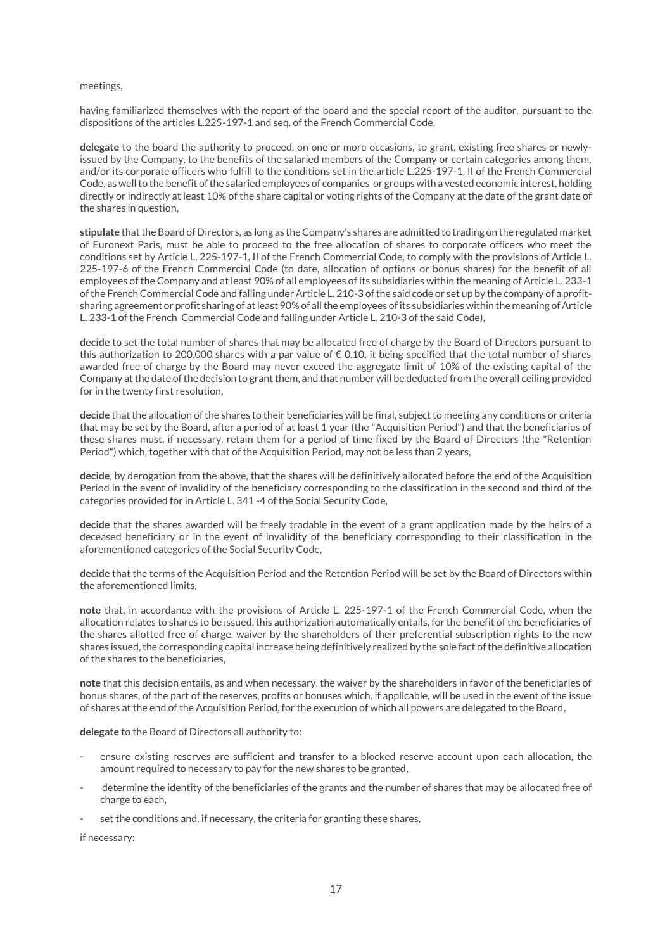#### meetings,

having familiarized themselves with the report of the board and the special report of the auditor, pursuant to the dispositions of the articles L.225-197-1 and seq. of the French Commercial Code,

**delegate** to the board the authority to proceed, on one or more occasions, to grant, existing free shares or newlyissued by the Company, to the benefits of the salaried members of the Company or certain categories among them, and/or its corporate officers who fulfill to the conditions set in the article L.225-197-1, II of the French Commercial Code, as well to the benefit of the salaried employees of companies or groups with a vested economic interest, holding directly or indirectly at least 10% of the share capital or voting rights of the Company at the date of the grant date of the shares in question,

**stipulate** that the Board of Directors, as long as the Company's shares are admitted to trading on the regulated market of Euronext Paris, must be able to proceed to the free allocation of shares to corporate officers who meet the conditions set by Article L. 225-197-1, II of the French Commercial Code, to comply with the provisions of Article L. 225-197-6 of the French Commercial Code (to date, allocation of options or bonus shares) for the benefit of all employees of the Company and at least 90% of all employees of its subsidiaries within the meaning of Article L. 233-1 of the French Commercial Code and falling under Article L. 210-3 of the said code or set up by the company of a profitsharing agreement or profit sharing of at least 90% of all the employees of its subsidiaries within the meaning of Article L. 233-1 of the French Commercial Code and falling under Article L. 210-3 of the said Code),

**decide** to set the total number of shares that may be allocated free of charge by the Board of Directors pursuant to this authorization to 200,000 shares with a par value of  $\epsilon$  0.10, it being specified that the total number of shares awarded free of charge by the Board may never exceed the aggregate limit of 10% of the existing capital of the Company at the date of the decision to grant them, and that number will be deducted from the overall ceiling provided for in the twenty first resolution,

**decide** that the allocation of the shares to their beneficiaries will be final, subject to meeting any conditions or criteria that may be set by the Board, after a period of at least 1 year (the "Acquisition Period") and that the beneficiaries of these shares must, if necessary, retain them for a period of time fixed by the Board of Directors (the "Retention Period") which, together with that of the Acquisition Period, may not be less than 2 years,

**decide**, by derogation from the above, that the shares will be definitively allocated before the end of the Acquisition Period in the event of invalidity of the beneficiary corresponding to the classification in the second and third of the categories provided for in Article L. 341 -4 of the Social Security Code,

**decide** that the shares awarded will be freely tradable in the event of a grant application made by the heirs of a deceased beneficiary or in the event of invalidity of the beneficiary corresponding to their classification in the aforementioned categories of the Social Security Code,

**decide** that the terms of the Acquisition Period and the Retention Period will be set by the Board of Directors within the aforementioned limits,

**note** that, in accordance with the provisions of Article L. 225-197-1 of the French Commercial Code, when the allocation relates to shares to be issued, this authorization automatically entails, for the benefit of the beneficiaries of the shares allotted free of charge. waiver by the shareholders of their preferential subscription rights to the new shares issued, the corresponding capital increase being definitively realized by the sole fact of the definitive allocation of the shares to the beneficiaries,

**note** that this decision entails, as and when necessary, the waiver by the shareholders in favor of the beneficiaries of bonus shares, of the part of the reserves, profits or bonuses which, if applicable, will be used in the event of the issue of shares at the end of the Acquisition Period, for the execution of which all powers are delegated to the Board,

**delegate** to the Board of Directors all authority to:

- ensure existing reserves are sufficient and transfer to a blocked reserve account upon each allocation, the amount required to necessary to pay for the new shares to be granted,
- determine the identity of the beneficiaries of the grants and the number of shares that may be allocated free of charge to each,
- set the conditions and, if necessary, the criteria for granting these shares,

if necessary: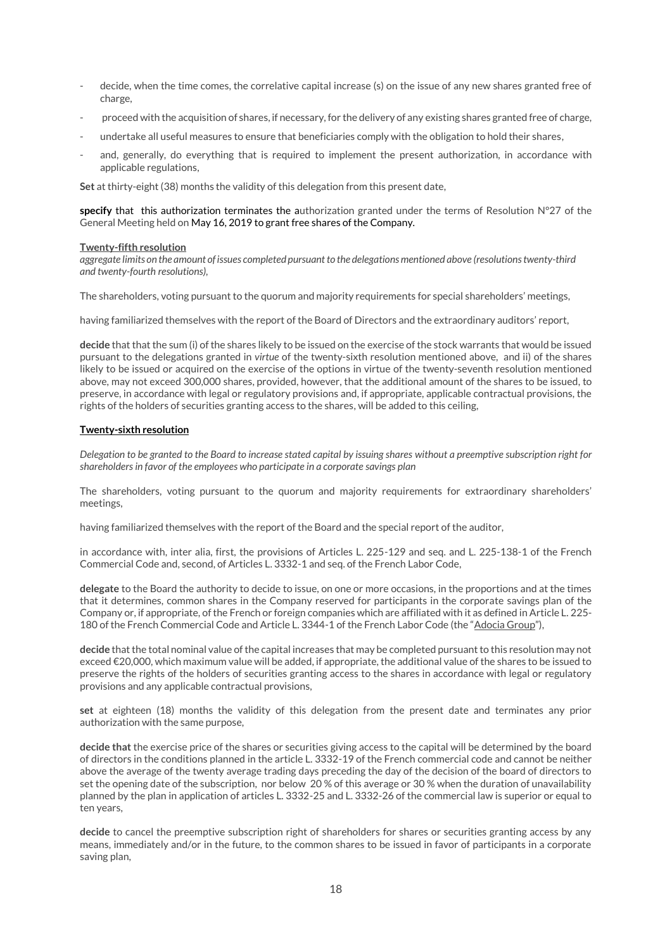- decide, when the time comes, the correlative capital increase (s) on the issue of any new shares granted free of charge,
- proceed with the acquisition of shares, if necessary, for the delivery of any existing shares granted free of charge,
- undertake all useful measures to ensure that beneficiaries comply with the obligation to hold their shares,
- and, generally, do everything that is required to implement the present authorization, in accordance with applicable regulations,

**Set** at thirty-eight (38) months the validity of this delegation from this present date,

**specify** that this authorization terminates the authorization granted under the terms of Resolution N°27 of the General Meeting held on May 16, 2019 to grant free shares of the Company.

#### **Twenty-fifth resolution**

*aggregate limits on the amount of issues completed pursuant to the delegations mentioned above (resolutions twenty-third and twenty-fourth resolutions),*

The shareholders, voting pursuant to the quorum and majority requirements for special shareholders' meetings,

having familiarized themselves with the report of the Board of Directors and the extraordinary auditors' report,

**decide** that that the sum (i) of the shares likely to be issued on the exercise of the stock warrants that would be issued pursuant to the delegations granted in *virtue* of the twenty-sixth resolution mentioned above, and ii) of the shares likely to be issued or acquired on the exercise of the options in virtue of the twenty-seventh resolution mentioned above, may not exceed 300,000 shares, provided, however, that the additional amount of the shares to be issued, to preserve, in accordance with legal or regulatory provisions and, if appropriate, applicable contractual provisions, the rights of the holders of securities granting access to the shares, will be added to this ceiling,

## **Twenty-sixth resolution**

*Delegation to be granted to the Board to increase stated capital by issuing shares without a preemptive subscription right for shareholders in favor of the employees who participate in a corporate savings plan*

The shareholders, voting pursuant to the quorum and majority requirements for extraordinary shareholders' meetings,

having familiarized themselves with the report of the Board and the special report of the auditor,

in accordance with, inter alia, first, the provisions of Articles L. 225-129 and seq. and L. 225-138-1 of the French Commercial Code and, second, of Articles L. 3332-1 and seq. of the French Labor Code,

**delegate** to the Board the authority to decide to issue, on one or more occasions, in the proportions and at the times that it determines, common shares in the Company reserved for participants in the corporate savings plan of the Company or, if appropriate, of the French or foreign companies which are affiliated with it as defined in Article L. 225- 180 of the French Commercial Code and Article L. 3344-1 of the French Labor Code (the "Adocia Group"),

**decide** that the total nominal value of the capital increases that may be completed pursuant to this resolution may not exceed €20,000, which maximum value will be added, if appropriate, the additional value of the shares to be issued to preserve the rights of the holders of securities granting access to the shares in accordance with legal or regulatory provisions and any applicable contractual provisions,

**set** at eighteen (18) months the validity of this delegation from the present date and terminates any prior authorization with the same purpose,

**decide that** the exercise price of the shares or securities giving access to the capital will be determined by the board of directors in the conditions planned in the article L. 3332-19 of the French commercial code and cannot be neither above the average of the twenty average trading days preceding the day of the decision of the board of directors to set the opening date of the subscription, nor below 20 % of this average or 30 % when the duration of unavailability planned by the plan in application of articles L. 3332-25 and L. 3332-26 of the commercial law is superior or equal to ten years,

**decide** to cancel the preemptive subscription right of shareholders for shares or securities granting access by any means, immediately and/or in the future, to the common shares to be issued in favor of participants in a corporate saving plan,